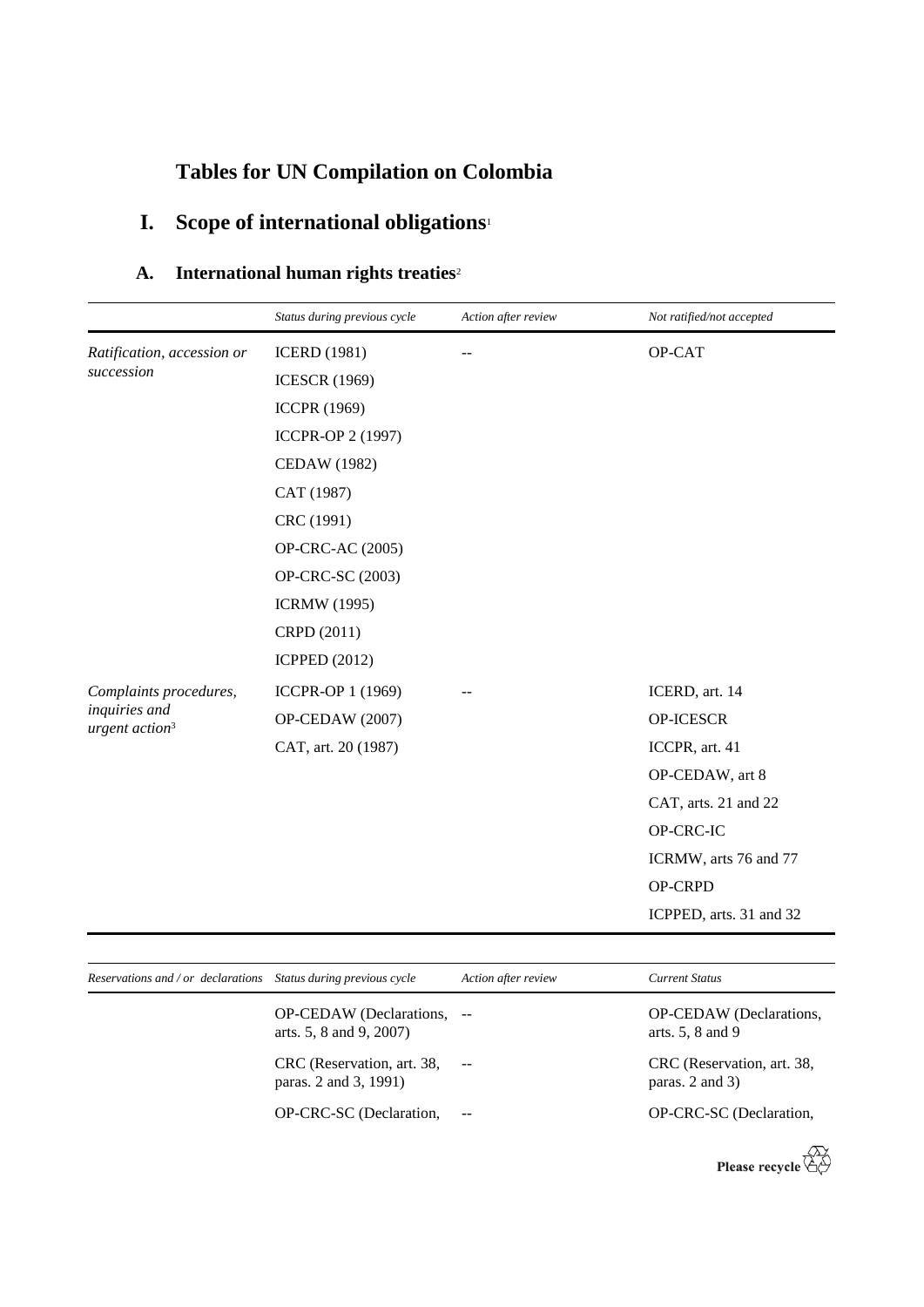# **Tables for UN Compilation on Colombia**

# **I. Scope of international obligations**<sup>1</sup>

### **A. International human rights treaties**<sup>2</sup>

|                                             | Status during previous cycle | Action after review | Not ratified/not accepted |
|---------------------------------------------|------------------------------|---------------------|---------------------------|
| Ratification, accession or                  | <b>ICERD</b> (1981)          |                     | OP-CAT                    |
| succession                                  | <b>ICESCR (1969)</b>         |                     |                           |
|                                             | <b>ICCPR (1969)</b>          |                     |                           |
|                                             | ICCPR-OP 2 (1997)            |                     |                           |
|                                             | <b>CEDAW</b> (1982)          |                     |                           |
|                                             | CAT (1987)                   |                     |                           |
|                                             | CRC (1991)                   |                     |                           |
|                                             | OP-CRC-AC (2005)             |                     |                           |
|                                             | OP-CRC-SC (2003)             |                     |                           |
|                                             | <b>ICRMW</b> (1995)          |                     |                           |
|                                             | CRPD (2011)                  |                     |                           |
|                                             | <b>ICPPED (2012)</b>         |                     |                           |
| Complaints procedures,                      | ICCPR-OP 1 (1969)            |                     | ICERD, art. 14            |
| inquiries and<br>urgent action <sup>3</sup> | OP-CEDAW (2007)              |                     | OP-ICESCR                 |
|                                             | CAT, art. 20 (1987)          |                     | ICCPR, art. 41            |
|                                             |                              |                     | OP-CEDAW, art 8           |
|                                             |                              |                     | CAT, arts. 21 and 22      |
|                                             |                              |                     | OP-CRC-IC                 |
|                                             |                              |                     | ICRMW, arts 76 and 77     |
|                                             |                              |                     | OP-CRPD                   |
|                                             |                              |                     | ICPPED, arts. 31 and 32   |

| Reservations and / or declarations Status during previous cycle |                                                       | Action after review | <b>Current Status</b>                             |
|-----------------------------------------------------------------|-------------------------------------------------------|---------------------|---------------------------------------------------|
|                                                                 | OP-CEDAW (Declarations, --<br>arts. 5, 8 and 9, 2007) |                     | OP-CEDAW (Declarations,<br>arts. $5, 8$ and $9$   |
|                                                                 | CRC (Reservation, art. 38,<br>paras. 2 and 3, 1991)   |                     | CRC (Reservation, art. 38,<br>paras. $2$ and $3)$ |
|                                                                 | OP-CRC-SC (Declaration,                               | $\sim$ $-$          | OP-CRC-SC (Declaration,                           |

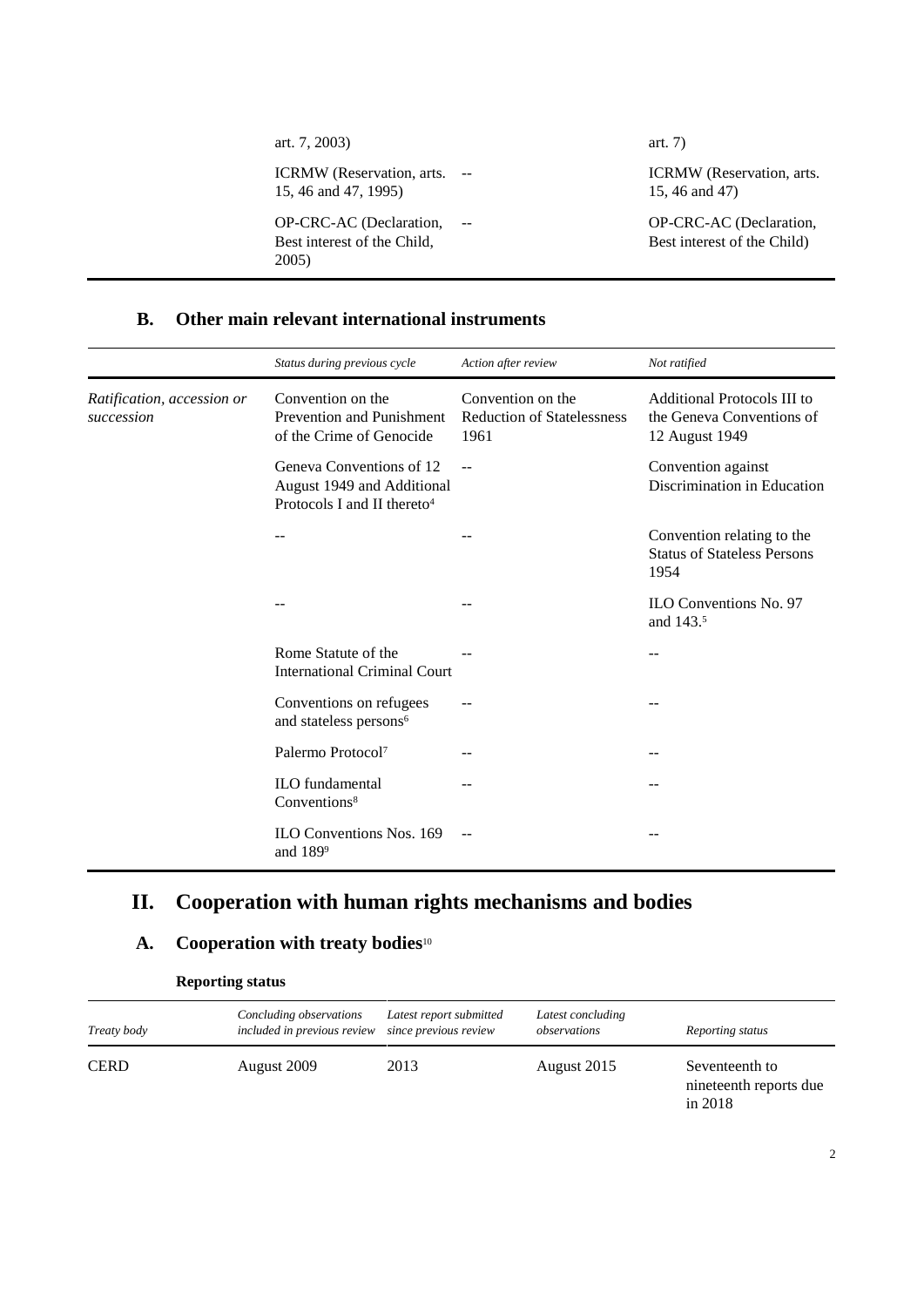| art. 7, 2003)                                                   | art. $7)$                                              |
|-----------------------------------------------------------------|--------------------------------------------------------|
| ICRMW (Reservation, arts. --<br>15, 46 and 47, 1995)            | ICRMW (Reservation, arts.<br>15, 46 and 47)            |
| OP-CRC-AC (Declaration,<br>Best interest of the Child,<br>2005) | OP-CRC-AC (Declaration,<br>Best interest of the Child) |

#### **B. Other main relevant international instruments**

|                                          | Status during previous cycle                                                                      | Action after review                                            | Not ratified                                                               |
|------------------------------------------|---------------------------------------------------------------------------------------------------|----------------------------------------------------------------|----------------------------------------------------------------------------|
| Ratification, accession or<br>succession | Convention on the<br>Prevention and Punishment<br>of the Crime of Genocide                        | Convention on the<br><b>Reduction of Statelessness</b><br>1961 | Additional Protocols III to<br>the Geneva Conventions of<br>12 August 1949 |
|                                          | Geneva Conventions of 12<br>August 1949 and Additional<br>Protocols I and II thereto <sup>4</sup> | $\sim$ $\sim$                                                  | Convention against<br>Discrimination in Education                          |
|                                          |                                                                                                   |                                                                | Convention relating to the<br><b>Status of Stateless Persons</b><br>1954   |
|                                          |                                                                                                   |                                                                | <b>ILO Conventions No. 97</b><br>and 143.5                                 |
|                                          | Rome Statute of the<br><b>International Criminal Court</b>                                        |                                                                |                                                                            |
|                                          | Conventions on refugees<br>and stateless persons <sup>6</sup>                                     |                                                                | --                                                                         |
|                                          | Palermo Protocol <sup>7</sup>                                                                     |                                                                | --                                                                         |
|                                          | <b>ILO</b> fundamental<br>Conventions <sup>8</sup>                                                |                                                                |                                                                            |
|                                          | ILO Conventions Nos. 169<br>and $189^9$                                                           |                                                                |                                                                            |

# **II. Cooperation with human rights mechanisms and bodies**

## **A. Cooperation with treaty bodies**<sup>10</sup>

| <b>Reporting status</b> |
|-------------------------|
|-------------------------|

| Treaty body | Concluding observations<br>included in previous review | Latest report submitted<br>since previous review | Latest concluding<br>observations | Reporting status                                      |
|-------------|--------------------------------------------------------|--------------------------------------------------|-----------------------------------|-------------------------------------------------------|
| <b>CERD</b> | August 2009                                            | 2013                                             | August 2015                       | Seventeenth to<br>nineteenth reports due<br>in $2018$ |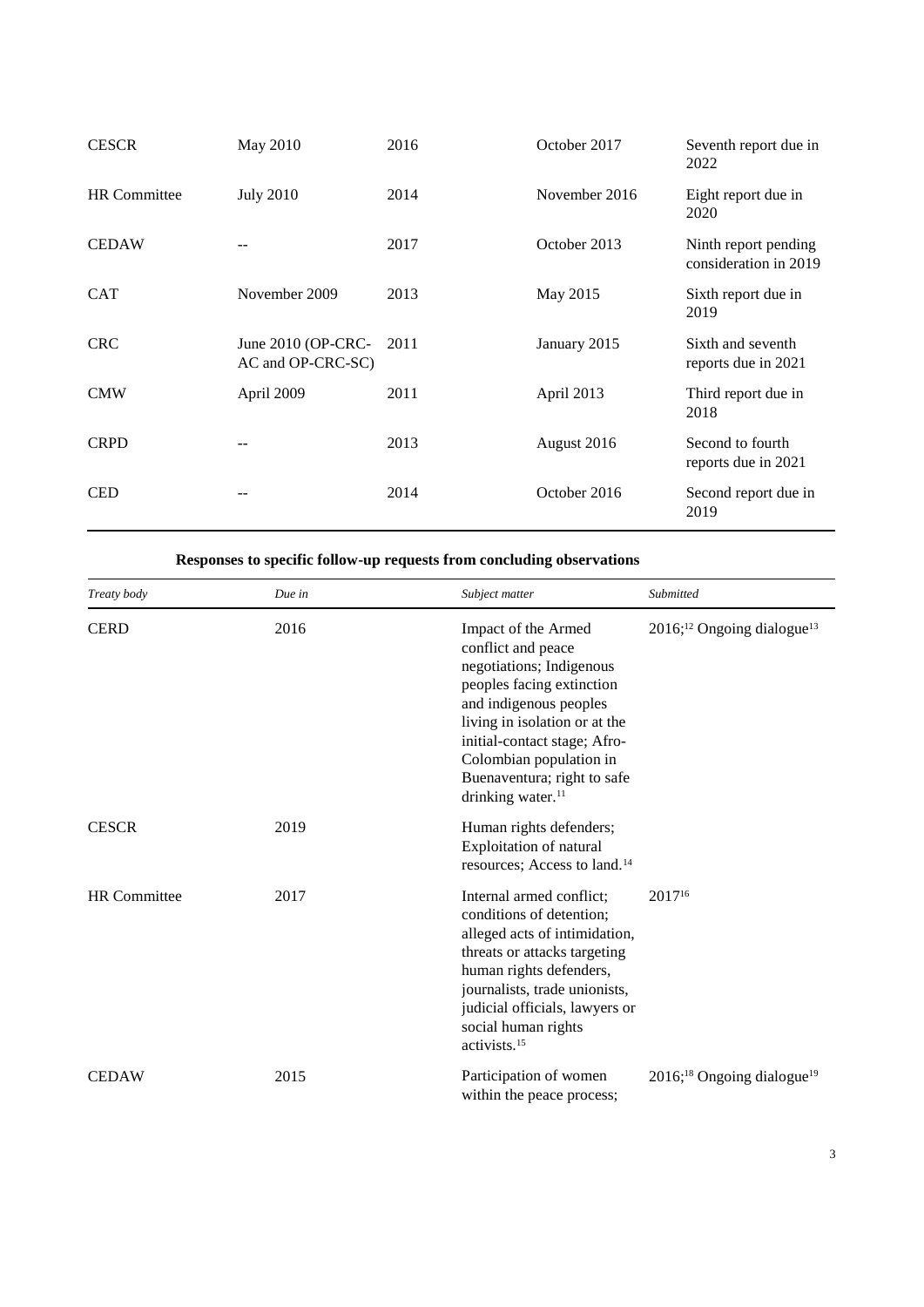| <b>CESCR</b>        | May 2010                                     | 2016 | October 2017  | Seventh report due in<br>2022                 |
|---------------------|----------------------------------------------|------|---------------|-----------------------------------------------|
| <b>HR</b> Committee | <b>July 2010</b>                             | 2014 | November 2016 | Eight report due in<br>2020                   |
| <b>CEDAW</b>        |                                              | 2017 | October 2013  | Ninth report pending<br>consideration in 2019 |
| <b>CAT</b>          | November 2009                                | 2013 | May 2015      | Sixth report due in<br>2019                   |
| <b>CRC</b>          | June 2010 (OP-CRC- 2011<br>AC and OP-CRC-SC) |      | January 2015  | Sixth and seventh<br>reports due in 2021      |
| <b>CMW</b>          | April 2009                                   | 2011 | April 2013    | Third report due in<br>2018                   |
| <b>CRPD</b>         |                                              | 2013 | August 2016   | Second to fourth<br>reports due in 2021       |
| <b>CED</b>          |                                              | 2014 | October 2016  | Second report due in<br>2019                  |

#### **Responses to specific follow-up requests from concluding observations**

| Treaty body         | Due in | Subject matter                                                                                                                                                                                                                                                                                                                                 | Submitted                                          |
|---------------------|--------|------------------------------------------------------------------------------------------------------------------------------------------------------------------------------------------------------------------------------------------------------------------------------------------------------------------------------------------------|----------------------------------------------------|
| <b>CERD</b>         | 2016   | 2016; <sup>12</sup> Ongoing dialogue <sup>13</sup><br>Impact of the Armed<br>conflict and peace<br>negotiations; Indigenous<br>peoples facing extinction<br>and indigenous peoples<br>living in isolation or at the<br>initial-contact stage; Afro-<br>Colombian population in<br>Buenaventura; right to safe<br>drinking water. <sup>11</sup> |                                                    |
| <b>CESCR</b>        | 2019   | Human rights defenders;<br>Exploitation of natural<br>resources; Access to land. <sup>14</sup>                                                                                                                                                                                                                                                 |                                                    |
| <b>HR</b> Committee | 2017   | 2017 <sup>16</sup><br>Internal armed conflict;<br>conditions of detention;<br>alleged acts of intimidation,<br>threats or attacks targeting<br>human rights defenders,<br>journalists, trade unionists,<br>judicial officials, lawyers or<br>social human rights<br>activists. <sup>15</sup>                                                   |                                                    |
| <b>CEDAW</b>        | 2015   | Participation of women<br>within the peace process;                                                                                                                                                                                                                                                                                            | 2016; <sup>18</sup> Ongoing dialogue <sup>19</sup> |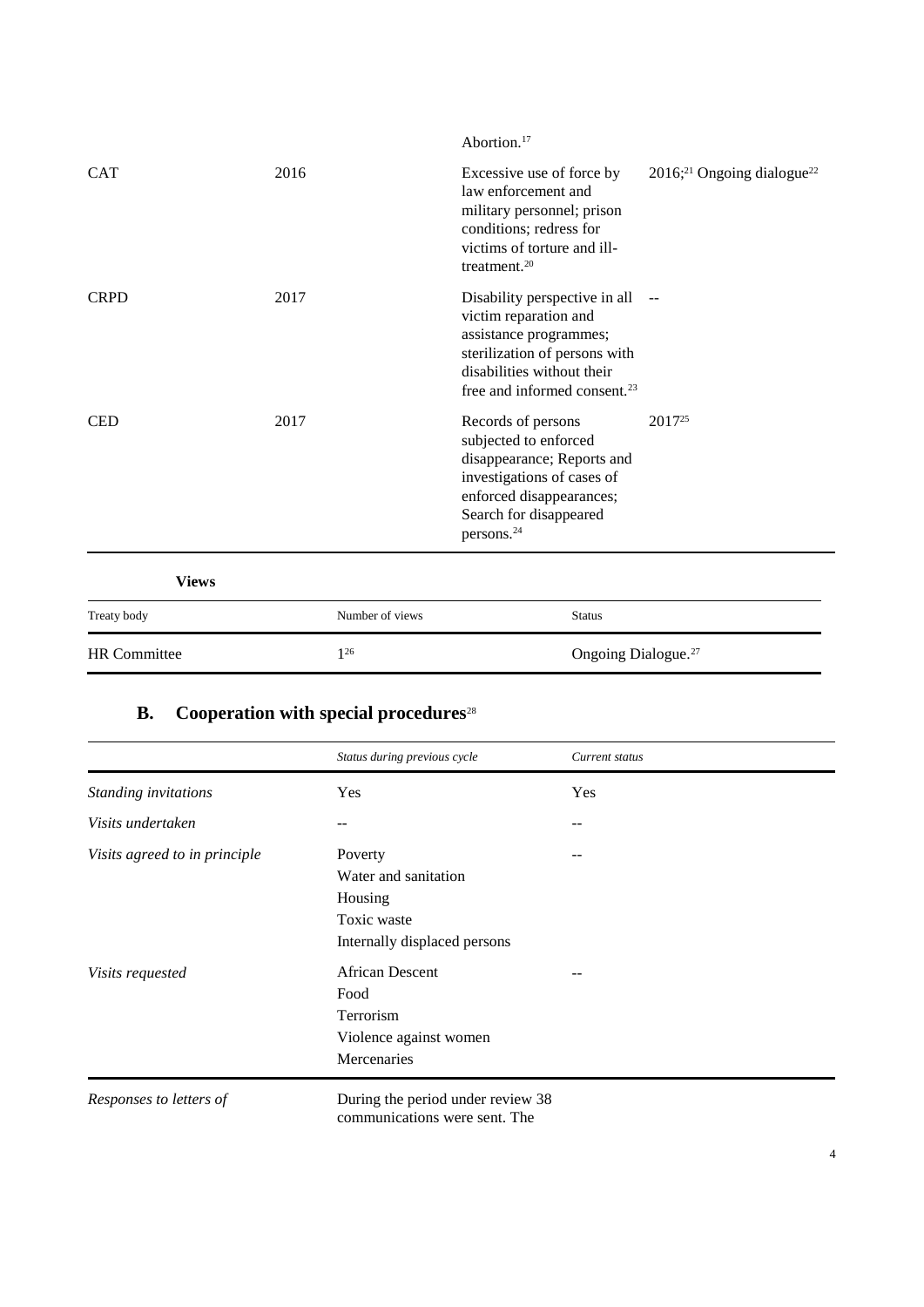| <b>HR</b> Committee | $1^{26}$        | Ongoing Dialogue. <sup>27</sup>                                                                                                                                                                                            |
|---------------------|-----------------|----------------------------------------------------------------------------------------------------------------------------------------------------------------------------------------------------------------------------|
| Treaty body         | Number of views | <b>Status</b>                                                                                                                                                                                                              |
| <b>Views</b>        |                 |                                                                                                                                                                                                                            |
| <b>CED</b>          | 2017            | 2017 <sup>25</sup><br>Records of persons<br>subjected to enforced<br>disappearance; Reports and<br>investigations of cases of<br>enforced disappearances;<br>Search for disappeared<br>persons. <sup>24</sup>              |
| <b>CRPD</b>         | 2017            | Disability perspective in all<br>$- -$<br>victim reparation and<br>assistance programmes;<br>sterilization of persons with<br>disabilities without their<br>free and informed consent. <sup>23</sup>                       |
| <b>CAT</b>          | 2016            | 2016; <sup>21</sup> Ongoing dialogue <sup>22</sup><br>Excessive use of force by<br>law enforcement and<br>military personnel; prison<br>conditions; redress for<br>victims of torture and ill-<br>treatment. <sup>20</sup> |
|                     |                 | Abortion. <sup>17</sup>                                                                                                                                                                                                    |

## **B. Cooperation with special procedures**<sup>28</sup>

|                               | Status during previous cycle | Current status |  |
|-------------------------------|------------------------------|----------------|--|
| Standing invitations          | Yes                          | Yes            |  |
| Visits undertaken             | $- -$                        |                |  |
| Visits agreed to in principle | Poverty                      | --             |  |
|                               | Water and sanitation         |                |  |
|                               | Housing                      |                |  |
|                               | Toxic waste                  |                |  |
|                               | Internally displaced persons |                |  |
| Visits requested              | <b>African Descent</b>       |                |  |
|                               | Food                         |                |  |
|                               | Terrorism                    |                |  |
|                               | Violence against women       |                |  |
|                               | Mercenaries                  |                |  |
|                               |                              |                |  |

*Responses to letters of* During the period under review 38 communications were sent. The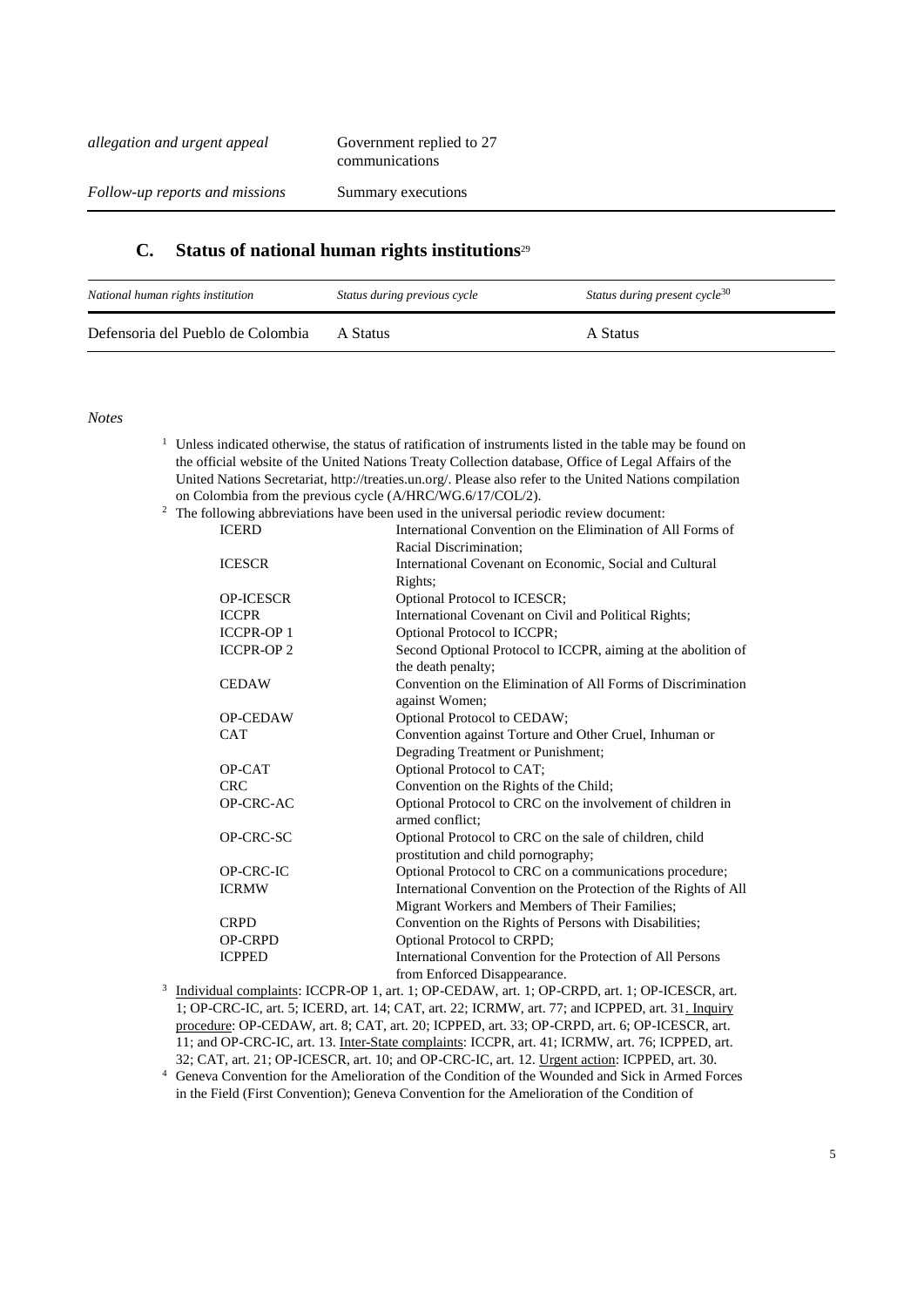#### **C. Status of national human rights institutions**<sup>29</sup>

| National human rights institution | Status during previous cycle | Status during present cycle <sup>30</sup> |
|-----------------------------------|------------------------------|-------------------------------------------|
| Defensoria del Pueblo de Colombia | A Status                     | A Status                                  |

*Notes*

- <sup>1</sup> Unless indicated otherwise, the status of ratification of instruments listed in the table may be found on the official website of the United Nations Treaty Collection database, Office of Legal Affairs of the United Nations Secretariat, http://treaties.un.org/. Please also refer to the United Nations compilation on Colombia from the previous cycle (A/HRC/WG.6/17/COL/2).
- <sup>2</sup> The following abbreviations have been used in the universal periodic review document:<br> **ICED**

| <b>ICERD</b>     | International Convention on the Elimination of All Forms of     |
|------------------|-----------------------------------------------------------------|
|                  | Racial Discrimination;                                          |
| <b>ICESCR</b>    | International Covenant on Economic, Social and Cultural         |
|                  | Rights;                                                         |
| <b>OP-ICESCR</b> | Optional Protocol to ICESCR;                                    |
| <b>ICCPR</b>     | International Covenant on Civil and Political Rights;           |
| <b>ICCPR-OP1</b> | Optional Protocol to ICCPR;                                     |
| <b>ICCPR-OP2</b> | Second Optional Protocol to ICCPR, aiming at the abolition of   |
|                  | the death penalty;                                              |
| <b>CEDAW</b>     | Convention on the Elimination of All Forms of Discrimination    |
|                  | against Women;                                                  |
| <b>OP-CEDAW</b>  | <b>Optional Protocol to CEDAW;</b>                              |
| <b>CAT</b>       | Convention against Torture and Other Cruel, Inhuman or          |
|                  | Degrading Treatment or Punishment;                              |
| OP-CAT           | Optional Protocol to CAT;                                       |
| <b>CRC</b>       | Convention on the Rights of the Child;                          |
| OP-CRC-AC        | Optional Protocol to CRC on the involvement of children in      |
|                  | armed conflict:                                                 |
| OP-CRC-SC        | Optional Protocol to CRC on the sale of children, child         |
|                  | prostitution and child pornography;                             |
| <b>OP-CRC-IC</b> | Optional Protocol to CRC on a communications procedure;         |
| <b>ICRMW</b>     | International Convention on the Protection of the Rights of All |
|                  | Migrant Workers and Members of Their Families;                  |
| <b>CRPD</b>      | Convention on the Rights of Persons with Disabilities;          |
| <b>OP-CRPD</b>   | Optional Protocol to CRPD;                                      |
| <b>ICPPED</b>    | International Convention for the Protection of All Persons      |
|                  | from Enforced Disappearance.                                    |

3 Individual complaints: ICCPR-OP 1, art. 1; OP-CEDAW, art. 1; OP-CRPD, art. 1; OP-ICESCR, art. 1; OP-CRC-IC, art. 5; ICERD, art. 14; CAT, art. 22; ICRMW, art. 77; and ICPPED, art. 31. Inquiry procedure: OP-CEDAW, art. 8; CAT, art. 20; ICPPED, art. 33; OP-CRPD, art. 6; OP-ICESCR, art. 11; and OP-CRC-IC, art. 13. Inter-State complaints: ICCPR, art. 41; ICRMW, art. 76; ICPPED, art. 32; CAT, art. 21; OP-ICESCR, art. 10; and OP-CRC-IC, art. 12. Urgent action: ICPPED, art. 30.

<sup>4</sup> Geneva Convention for the Amelioration of the Condition of the Wounded and Sick in Armed Forces in the Field (First Convention); Geneva Convention for the Amelioration of the Condition of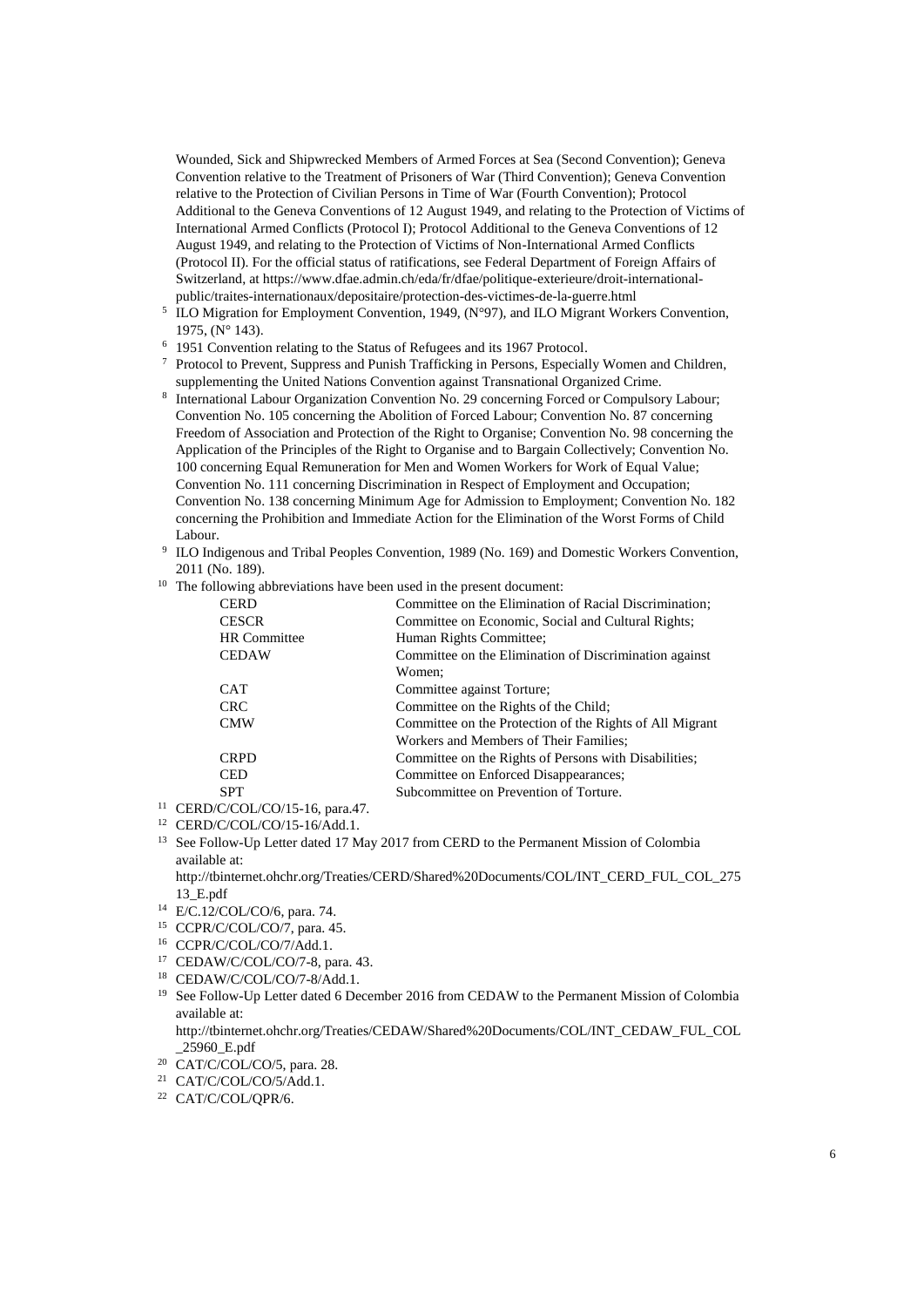Wounded, Sick and Shipwrecked Members of Armed Forces at Sea (Second Convention); Geneva Convention relative to the Treatment of Prisoners of War (Third Convention); Geneva Convention relative to the Protection of Civilian Persons in Time of War (Fourth Convention); Protocol Additional to the Geneva Conventions of 12 August 1949, and relating to the Protection of Victims of International Armed Conflicts (Protocol I); Protocol Additional to the Geneva Conventions of 12 August 1949, and relating to the Protection of Victims of Non-International Armed Conflicts (Protocol II). For the official status of ratifications, see Federal Department of Foreign Affairs of Switzerland, at https://www.dfae.admin.ch/eda/fr/dfae/politique-exterieure/droit-internationalpublic/traites-internationaux/depositaire/protection-des-victimes-de-la-guerre.html

- <sup>5</sup> ILO Migration for Employment Convention, 1949,  $(N°97)$ , and ILO Migrant Workers Convention, 1975, (N° 143).
- <sup>6</sup> 1951 Convention relating to the Status of Refugees and its 1967 Protocol.
- <sup>7</sup> Protocol to Prevent, Suppress and Punish Trafficking in Persons, Especially Women and Children, supplementing the United Nations Convention against Transnational Organized Crime.
- 8 International Labour Organization Convention No. 29 concerning Forced or Compulsory Labour; Convention No. 105 concerning the Abolition of Forced Labour; Convention No. 87 concerning Freedom of Association and Protection of the Right to Organise; Convention No. 98 concerning the Application of the Principles of the Right to Organise and to Bargain Collectively; Convention No. 100 concerning Equal Remuneration for Men and Women Workers for Work of Equal Value; Convention No. 111 concerning Discrimination in Respect of Employment and Occupation; Convention No. 138 concerning Minimum Age for Admission to Employment; Convention No. 182 concerning the Prohibition and Immediate Action for the Elimination of the Worst Forms of Child Labour.
- 9 ILO Indigenous and Tribal Peoples Convention, 1989 (No. 169) and Domestic Workers Convention, 2011 (No. 189).
- <sup>10</sup> The following abbreviations have been used in the present document:

| <b>CERD</b>         | Committee on the Elimination of Racial Discrimination;   |
|---------------------|----------------------------------------------------------|
| <b>CESCR</b>        | Committee on Economic, Social and Cultural Rights;       |
| <b>HR</b> Committee | Human Rights Committee;                                  |
| <b>CEDAW</b>        | Committee on the Elimination of Discrimination against   |
|                     | Women:                                                   |
| <b>CAT</b>          | Committee against Torture;                               |
| <b>CRC</b>          | Committee on the Rights of the Child;                    |
| <b>CMW</b>          | Committee on the Protection of the Rights of All Migrant |
|                     | Workers and Members of Their Families;                   |
| <b>CRPD</b>         | Committee on the Rights of Persons with Disabilities;    |
| <b>CED</b>          | Committee on Enforced Disappearances;                    |
| <b>SPT</b>          | Subcommittee on Prevention of Torture.                   |
|                     |                                                          |

- <sup>11</sup> CERD/C/COL/CO/15-16, para.47.
- <sup>12</sup> CERD/C/COL/CO/15-16/Add.1.
- <sup>13</sup> See Follow-Up Letter dated 17 May 2017 from CERD to the Permanent Mission of Colombia available at:
	- http://tbinternet.ohchr.org/Treaties/CERD/Shared%20Documents/COL/INT\_CERD\_FUL\_COL\_275 13\_E.pdf
- <sup>14</sup> E/C.12/COL/CO/6, para. 74.
- <sup>15</sup> CCPR/C/COL/CO/7, para. 45.
- <sup>16</sup> CCPR/C/COL/CO/7/Add.1.
- <sup>17</sup> CEDAW/C/COL/CO/7-8, para. 43.
- <sup>18</sup> CEDAW/C/COL/CO/7-8/Add.1.
- <sup>19</sup> See Follow-Up Letter dated 6 December 2016 from CEDAW to the Permanent Mission of Colombia available at:

http://tbinternet.ohchr.org/Treaties/CEDAW/Shared%20Documents/COL/INT\_CEDAW\_FUL\_COL \_25960\_E.pdf

- <sup>20</sup> CAT/C/COL/CO/5, para. 28.
- <sup>21</sup> CAT/C/COL/CO/5/Add.1.
- <sup>22</sup> CAT/C/COL/QPR/6.